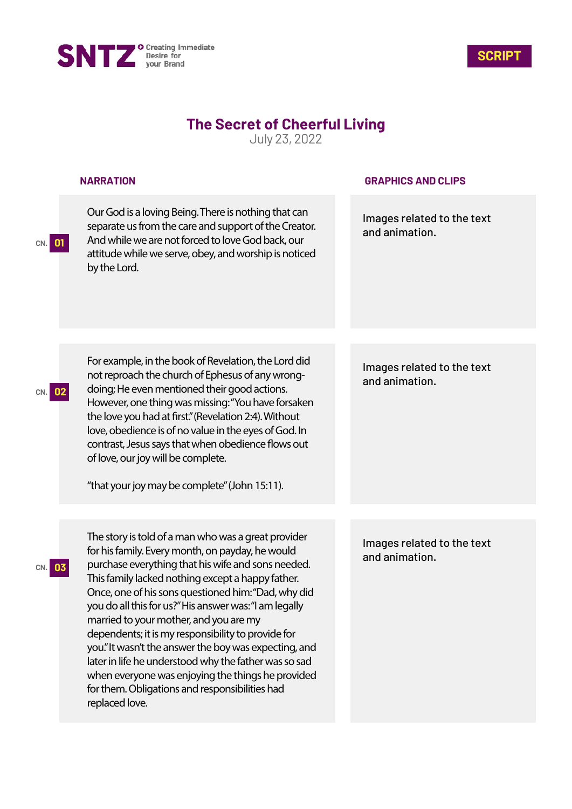



## **The Secret of Cheerful Living**

July 23, 2022

|           | <b>NARRATION</b>                                                                                                                                                                                                                                                                                                                                                                                                                                                                                                                                                                                                                                                               | <b>GRAPHICS AND CLIPS</b>                    |
|-----------|--------------------------------------------------------------------------------------------------------------------------------------------------------------------------------------------------------------------------------------------------------------------------------------------------------------------------------------------------------------------------------------------------------------------------------------------------------------------------------------------------------------------------------------------------------------------------------------------------------------------------------------------------------------------------------|----------------------------------------------|
| CN. 01    | Our God is a loving Being. There is nothing that can<br>separate us from the care and support of the Creator.<br>And while we are not forced to love God back, our<br>attitude while we serve, obey, and worship is noticed<br>by the Lord.                                                                                                                                                                                                                                                                                                                                                                                                                                    | Images related to the text<br>and animation. |
|           |                                                                                                                                                                                                                                                                                                                                                                                                                                                                                                                                                                                                                                                                                |                                              |
|           | For example, in the book of Revelation, the Lord did<br>not reproach the church of Ephesus of any wrong-<br>doing; He even mentioned their good actions.<br>However, one thing was missing: "You have forsaken<br>the love you had at first." (Revelation 2:4). Without<br>love, obedience is of no value in the eyes of God. In<br>contrast, Jesus says that when obedience flows out<br>of love, our joy will be complete.<br>"that your joy may be complete" (John 15:11).                                                                                                                                                                                                  | Images related to the text<br>and animation. |
|           |                                                                                                                                                                                                                                                                                                                                                                                                                                                                                                                                                                                                                                                                                |                                              |
| 03<br>CN. | The story is told of a man who was a great provider<br>for his family. Every month, on payday, he would<br>purchase everything that his wife and sons needed.<br>This family lacked nothing except a happy father.<br>Once, one of his sons questioned him: "Dad, why did<br>you do all this for us?" His answer was: "I am legally<br>married to your mother, and you are my<br>dependents; it is my responsibility to provide for<br>you." It wasn't the answer the boy was expecting, and<br>later in life he understood why the father was so sad<br>when everyone was enjoying the things he provided<br>for them. Obligations and responsibilities had<br>replaced love. | Images related to the text<br>and animation. |